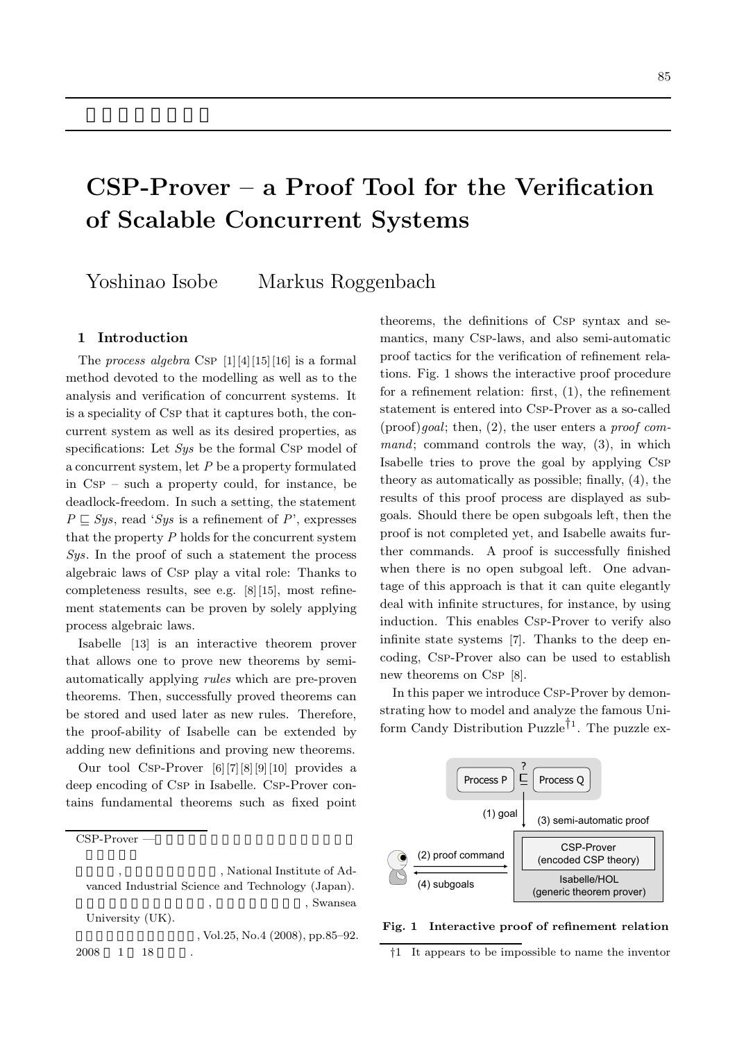# **CSP-Prover – a Proof Tool for the Verification of Scalable Concurrent Systems**

Yoshinao Isobe Markus Roggenbach

## **1 Introduction**

The *process algebra* Csp [1][4][15][16] is a formal method devoted to the modelling as well as to the analysis and verification of concurrent systems. It is a speciality of Csp that it captures both, the concurrent system as well as its desired properties, as specifications: Let *Sys* be the formal Csp model of a concurrent system, let *P* be a property formulated in Csp – such a property could, for instance, be deadlock-freedom. In such a setting, the statement  $P \sqsubset Sys$ , read '*Sys* is a refinement of *P*', expresses that the property *P* holds for the concurrent system *Sys*. In the proof of such a statement the process algebraic laws of Csp play a vital role: Thanks to completeness results, see e.g. [8][15], most refinement statements can be proven by solely applying process algebraic laws.

Isabelle [13] is an interactive theorem prover that allows one to prove new theorems by semiautomatically applying *rules* which are pre-proven theorems. Then, successfully proved theorems can be stored and used later as new rules. Therefore, the proof-ability of Isabelle can be extended by adding new definitions and proving new theorems.

Our tool Csp-Prover [6][7][8][9][10] provides a deep encoding of Csp in Isabelle. Csp-Prover contains fundamental theorems such as fixed point

CSP-Prover —

, Vol.25, No.4 (2008), pp.85–92. 2008 1 18

theorems, the definitions of Csp syntax and semantics, many Csp-laws, and also semi-automatic proof tactics for the verification of refinement relations. Fig. 1 shows the interactive proof procedure for a refinement relation: first, (1), the refinement statement is entered into Csp-Prover as a so-called (proof)*goal*; then, (2), the user enters a *proof command*; command controls the way, (3), in which Isabelle tries to prove the goal by applying Csp theory as automatically as possible; finally, (4), the results of this proof process are displayed as subgoals. Should there be open subgoals left, then the proof is not completed yet, and Isabelle awaits further commands. A proof is successfully finished when there is no open subgoal left. One advantage of this approach is that it can quite elegantly deal with infinite structures, for instance, by using induction. This enables Csp-Prover to verify also infinite state systems [7]. Thanks to the deep encoding, Csp-Prover also can be used to establish new theorems on Csp [8].

In this paper we introduce Csp-Prover by demonstrating how to model and analyze the famous Uniform Candy Distribution Puzzle<sup> $\uparrow$ 1</sup>. The puzzle ex-



#### **Fig. 1 Interactive proof of refinement relation**

†1 It appears to be impossible to name the inventor

<sup>,</sup> National Institute of Advanced Industrial Science and Technology (Japan). , Swansea University (UK).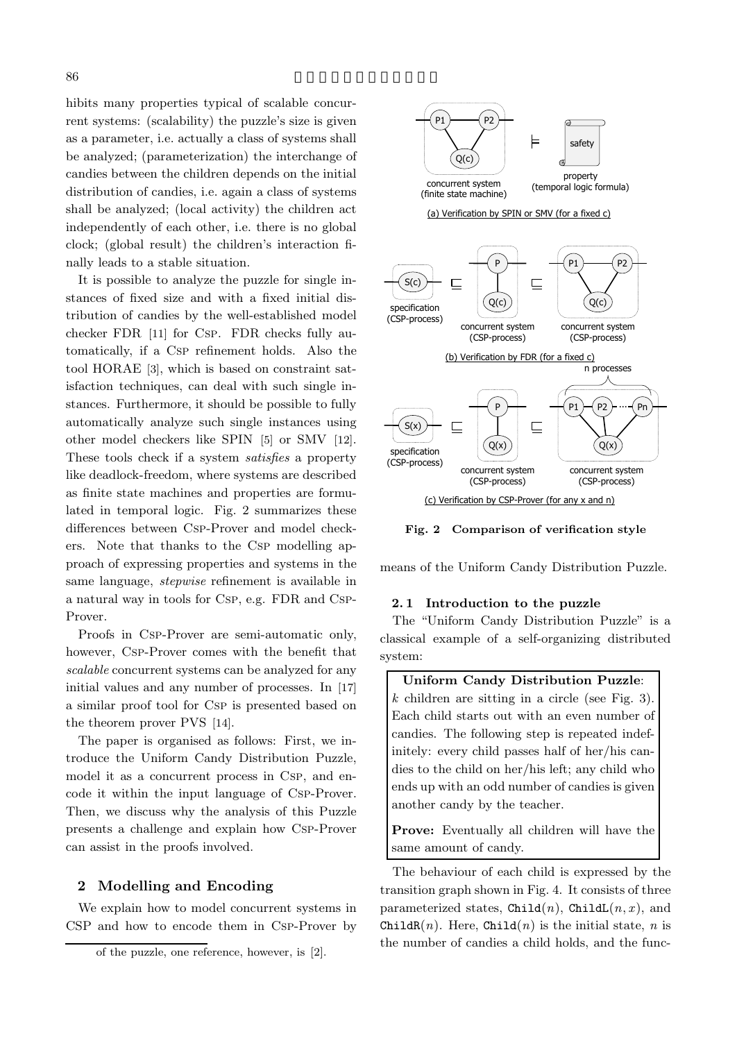hibits many properties typical of scalable concurrent systems: (scalability) the puzzle's size is given as a parameter, i.e. actually a class of systems shall be analyzed; (parameterization) the interchange of candies between the children depends on the initial distribution of candies, i.e. again a class of systems shall be analyzed; (local activity) the children act independently of each other, i.e. there is no global clock; (global result) the children's interaction finally leads to a stable situation.

It is possible to analyze the puzzle for single instances of fixed size and with a fixed initial distribution of candies by the well-established model checker FDR [11] for Csp. FDR checks fully automatically, if a Csp refinement holds. Also the tool HORAE [3], which is based on constraint satisfaction techniques, can deal with such single instances. Furthermore, it should be possible to fully automatically analyze such single instances using other model checkers like SPIN [5] or SMV [12]. These tools check if a system *satisfies* a property like deadlock-freedom, where systems are described as finite state machines and properties are formulated in temporal logic. Fig. 2 summarizes these differences between Csp-Prover and model checkers. Note that thanks to the Csp modelling approach of expressing properties and systems in the same language, *stepwise* refinement is available in a natural way in tools for Csp, e.g. FDR and Csp-Prover.

Proofs in Csp-Prover are semi-automatic only, however, Csp-Prover comes with the benefit that *scalable* concurrent systems can be analyzed for any initial values and any number of processes. In [17] a similar proof tool for Csp is presented based on the theorem prover PVS [14].

The paper is organised as follows: First, we introduce the Uniform Candy Distribution Puzzle, model it as a concurrent process in Csp, and encode it within the input language of Csp-Prover. Then, we discuss why the analysis of this Puzzle presents a challenge and explain how Csp-Prover can assist in the proofs involved.

# **2 Modelling and Encoding**

We explain how to model concurrent systems in CSP and how to encode them in Csp-Prover by



**Fig. 2 Comparison of verification style**

means of the Uniform Candy Distribution Puzzle.

### **2. 1 Introduction to the puzzle**

The "Uniform Candy Distribution Puzzle" is a classical example of a self-organizing distributed system:

**Uniform Candy Distribution Puzzle**: *k* children are sitting in a circle (see Fig. 3). Each child starts out with an even number of candies. The following step is repeated indefinitely: every child passes half of her/his candies to the child on her/his left; any child who ends up with an odd number of candies is given another candy by the teacher.

**Prove:** Eventually all children will have the same amount of candy.

The behaviour of each child is expressed by the transition graph shown in Fig. 4. It consists of three parameterized states,  $\text{Child}(n)$ ,  $\text{ChildL}(n, x)$ , and ChildR $(n)$ . Here, Child $(n)$  is the initial state, *n* is the number of candies a child holds, and the func-

of the puzzle, one reference, however, is [2].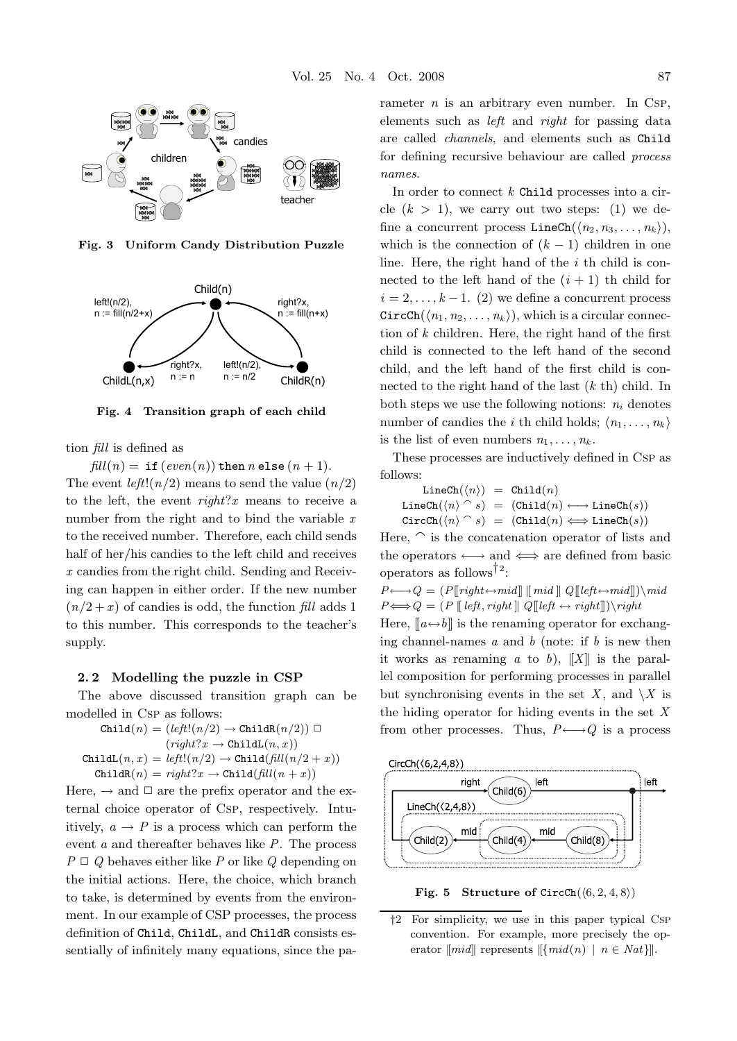

**Fig. 3 Uniform Candy Distribution Puzzle**



**Fig. 4 Transition graph of each child**

tion *fill* is defined as

 $\text{fill}(n) = \text{if} (\text{even}(n)) \text{ then } n \text{ else } (n+1).$ The event  $left(n/2)$  means to send the value  $(n/2)$ to the left, the event *right*?*x* means to receive a number from the right and to bind the variable *x* to the received number. Therefore, each child sends half of her/his candies to the left child and receives *x* candies from the right child. Sending and Receiving can happen in either order. If the new number  $(n/2 + x)$  of candies is odd, the function *fill* adds 1 to this number. This corresponds to the teacher's supply.

## **2. 2 Modelling the puzzle in CSP**

The above discussed transition graph can be modelled in Csp as follows:

$$
\begin{aligned} \mathtt{Child}(n) &= (left(n/2) \rightarrow \mathtt{ChildR}(n/2)) \; \Box \\ & (right?x \rightarrow \mathtt{ChildL}(n,x)) \\ \mathtt{ChildL}(n,x) &= left!(n/2) \rightarrow \mathtt{Child}(\mathit{fill}(n/2+x)) \\ \mathtt{ChildR}(n) &= \mathit{right?x} \rightarrow \mathtt{Child}(\mathit{fill}(n+x)) \end{aligned}
$$

Here,  $\rightarrow$  and  $\Box$  are the prefix operator and the external choice operator of Csp, respectively. Intuitively,  $a \rightarrow P$  is a process which can perform the event *a* and thereafter behaves like *P*. The process  $P \sqcup Q$  behaves either like *P* or like *Q* depending on the initial actions. Here, the choice, which branch to take, is determined by events from the environment. In our example of CSP processes, the process definition of Child, ChildL, and ChildR consists essentially of infinitely many equations, since the parameter  $n$  is an arbitrary even number. In Csp, elements such as *left* and *right* for passing data are called *channels*, and elements such as Child for defining recursive behaviour are called *process names*.

In order to connect *k* Child processes into a circle  $(k > 1)$ , we carry out two steps: (1) we define a concurrent process  $\text{LineCh}(\langle n_2, n_3, \ldots, n_k \rangle),$ which is the connection of  $(k-1)$  children in one line. Here, the right hand of the *i* th child is connected to the left hand of the  $(i + 1)$  th child for  $i = 2, \ldots, k - 1$ . (2) we define a concurrent process  $CircCh(\langle n_1, n_2, \ldots, n_k \rangle)$ , which is a circular connection of *k* children. Here, the right hand of the first child is connected to the left hand of the second child, and the left hand of the first child is connected to the right hand of the last (*k* th) child. In both steps we use the following notions:  $n_i$  denotes number of candies the *i* th child holds;  $\langle n_1, \ldots, n_k \rangle$ is the list of even numbers  $n_1, \ldots, n_k$ .

These processes are inductively defined in Csp as follows:

 $\mathtt{LineCh}(\langle n \rangle) = \mathtt{Child}(n)$  $\mathtt{LineCh}(\langle n \rangle \, \,^\frown \, s) \; = \; (\mathtt{Child}(n) \longleftrightarrow \mathtt{LineCh}(s))$  $\texttt{CircCh}(\langle n \rangle \cap s) = (\texttt{Child}(n) \Longleftrightarrow \texttt{LineCh}(s))$ 

Here,  $\hat{\ }$  is the concatenation operator of lists and the operators  $\longleftrightarrow$  and  $\Longleftrightarrow$  are defined from basic operators as follows<sup>†2</sup>:

 $P \longleftrightarrow Q = (P[\nmid right \leftrightarrow mid] [\nmid mid] Q[\nmid left \leftrightarrow mid]) \mid mid$  $P \Longleftrightarrow Q = (P \parallel left, right \parallel Q \parallel left \leftrightarrow right \parallel) \rightarrow right$ 

Here,  $[a \leftrightarrow b]$  is the renaming operator for exchanging channel-names *a* and *b* (note: if *b* is new then it works as renaming  $a$  to  $b$ ),  $||X||$  is the parallel composition for performing processes in parallel but synchronising events in the set X, and  $\setminus X$  is the hiding operator for hiding events in the set *X* from other processes. Thus,  $P \longleftrightarrow Q$  is a process



**Fig. 5** Structure of CircCh $(\langle 6, 2, 4, 8 \rangle)$ 

<sup>†</sup>2 For simplicity, we use in this paper typical Csp convention. For example, more precisely the operator  $\llbracket mid \rrbracket$  represents  $\llbracket \{ mid(n) \mid n \in Nat \} \rrbracket$ .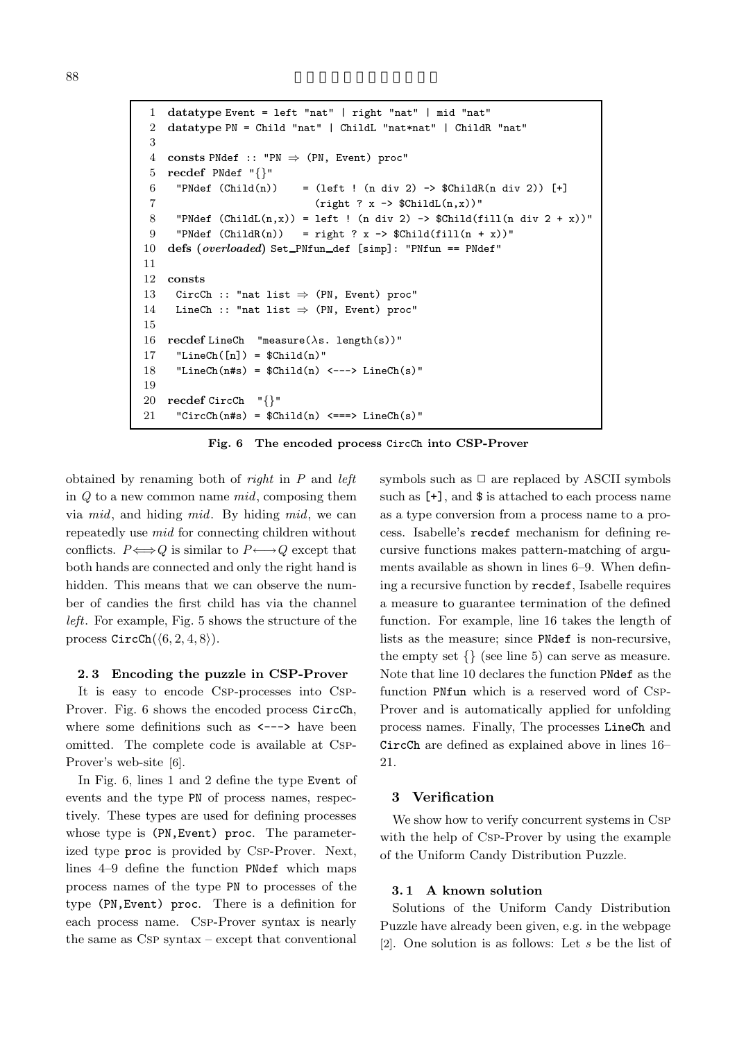```
1 datatype Event = left "nat" | right "nat" | mid "nat"
2 datatype PN = Child "nat" | ChildL "nat*nat" | ChildR "nat"
3
 4 consts PNdef :: "PN \Rightarrow (PN, Event) proc"
5 recdef PNdef "{}"
6 "PNdef (Child(n)) = (left ! (n div 2) \rightarrow $ChildR(n div 2)) [+]
7 (right ? x \rightarrow $ChildL(n,x))"
8 "PNdef (ChildL(n,x)) = left ! (n div 2) -> $Child(fill(n div 2 + x))"
9 "PNdef (ChildR(n)) = right ? x -> \displaystyle\frac{\delta}{\delta} *Child(fill(n + x))"
10 defs (overloaded) Set PNfun def [simp]: "PNfun == PNdef"
11
12 consts
13 CircCh :: "nat list \Rightarrow (PN, Event) proc"
14 LineCh :: "nat list \Rightarrow (PN, Event) proc"
15
16 recdef LineCh "measure(\lambdas. length(s))"
17 "LineCh([n]) = $Child(n)"
18 "LineCh(n#s) = C\Child(n) <---> LineCh(s)"
19
20 recdef CircCh "{}"
21 "CircCh(n#s) = $Child(n) \leq => LineCh(s)"
```
**Fig. 6 The encoded process** CircCh **into CSP-Prover**

obtained by renaming both of *right* in *P* and *left* in *Q* to a new common name *mid*, composing them via *mid*, and hiding *mid*. By hiding *mid*, we can repeatedly use *mid* for connecting children without conflicts.  $P \Longleftrightarrow Q$  is similar to  $P \longleftrightarrow Q$  except that both hands are connected and only the right hand is hidden. This means that we can observe the number of candies the first child has via the channel *left*. For example, Fig. 5 shows the structure of the process  $CircCh(\langle 6, 2, 4, 8 \rangle)$ .

## **2. 3 Encoding the puzzle in CSP-Prover**

It is easy to encode Csp-processes into Csp-Prover. Fig. 6 shows the encoded process CircCh, where some definitions such as  $\leftarrow$ --> have been omitted. The complete code is available at Csp-Prover's web-site [6].

In Fig. 6, lines 1 and 2 define the type Event of events and the type PN of process names, respectively. These types are used for defining processes whose type is (PN,Event) proc. The parameterized type proc is provided by Csp-Prover. Next, lines 4–9 define the function PNdef which maps process names of the type PN to processes of the type (PN,Event) proc. There is a definition for each process name. Csp-Prover syntax is nearly the same as Csp syntax – except that conventional

symbols such as  $\Box$  are replaced by ASCII symbols such as [+], and \$ is attached to each process name as a type conversion from a process name to a process. Isabelle's recdef mechanism for defining recursive functions makes pattern-matching of arguments available as shown in lines 6–9. When defining a recursive function by recdef, Isabelle requires a measure to guarantee termination of the defined function. For example, line 16 takes the length of lists as the measure; since PNdef is non-recursive, the empty set  $\{\}\$  (see line 5) can serve as measure. Note that line 10 declares the function PNdef as the function PNfun which is a reserved word of Csp-Prover and is automatically applied for unfolding process names. Finally, The processes LineCh and CircCh are defined as explained above in lines 16– 21.

## **3 Verification**

We show how to verify concurrent systems in Csp with the help of Csp-Prover by using the example of the Uniform Candy Distribution Puzzle.

## **3. 1 A known solution**

Solutions of the Uniform Candy Distribution Puzzle have already been given, e.g. in the webpage [2]. One solution is as follows: Let *s* be the list of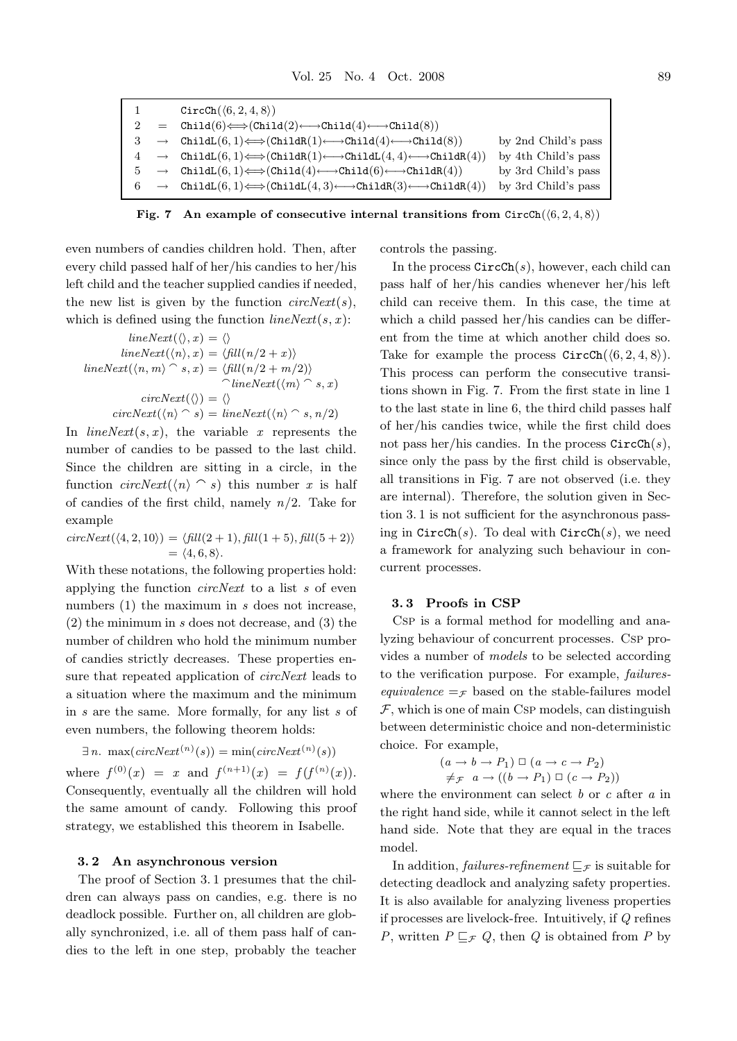$\text{CircCh}(\langle 6, 2, 4, 8 \rangle)$  $2 = \text{Child}(6) \Longleftrightarrow (\text{Child}(2) \longleftrightarrow \text{Child}(4) \longleftrightarrow \text{Child}(8))$  $\rightarrow$  ChildL $(6, 1) \Longleftrightarrow$ (ChildR $(1) \Longleftrightarrow$ Child $(4) \Longleftrightarrow$ Child $(8)$ ) by 2nd Child's pass  $\rightarrow$  ChildL $(6, 1) \Longleftrightarrow$  ChildR $(1) \longleftarrow$ ChildL $(4, 4) \longleftarrow$ ChildR $(4)$ ) by 4th Child's pass  $\rightarrow$  ChildL $(6, 1) \Longleftrightarrow$ (Child $(4) \longleftrightarrow$ Child $(6) \longleftrightarrow$ ChildR $(4)$ ) by 3rd Child's pass  $\rightarrow$  ChildL $(6, 1) \Longleftrightarrow$ (ChildL $(4, 3) \longleftrightarrow$ ChildR $(3) \longleftrightarrow$ ChildR $(4)$ ) by 3rd Child's pass

**Fig. 7** An example of consecutive internal transitions from  $CircCh(\langle 6, 2, 4, 8 \rangle)$ 

even numbers of candies children hold. Then, after every child passed half of her/his candies to her/his left child and the teacher supplied candies if needed, the new list is given by the function *circNext*(*s*), which is defined using the function *lineNext*(*s*, *x*):

$$
lineNext(\langle \rangle, x) = \langle \rangle
$$
  
\n
$$
lineNext(\langle n \rangle, x) = \langle fill(n/2 + x) \rangle
$$
  
\n
$$
lineNext(\langle n, m \rangle \cap s, x) = \langle fill(n/2 + m/2) \rangle
$$
  
\n
$$
circle(\langle m, m \rangle \cap s, x)
$$
  
\n
$$
circNext(\langle \rangle) = \langle \rangle
$$
  
\n
$$
circNext(\langle n \rangle \cap s) = lineNext(\langle n \rangle \cap s, n/2)
$$

In  $lineNext(s, x)$ , the variable *x* represents the number of candies to be passed to the last child. Since the children are sitting in a circle, in the function  $circNext(\langle n \rangle \cap s)$  this number *x* is half of candies of the first child, namely *n*/2. Take for example

 $circNext(\langle 4, 2, 10 \rangle) = \langle fill(2 + 1), fill(1 + 5), fill(5 + 2) \rangle$  $= \langle 4, 6, 8 \rangle.$ 

With these notations, the following properties hold: applying the function *circNext* to a list *s* of even numbers (1) the maximum in *s* does not increase, (2) the minimum in *s* does not decrease, and (3) the number of children who hold the minimum number of candies strictly decreases. These properties ensure that repeated application of *circNext* leads to a situation where the maximum and the minimum in *s* are the same. More formally, for any list *s* of even numbers, the following theorem holds:

$$
\exists n. \ \max(circNext^{(n)}(s)) = \min(circNext^{(n)}(s))
$$

where  $f^{(0)}(x) = x$  and  $f^{(n+1)}(x) = f(f^{(n)}(x))$ . Consequently, eventually all the children will hold the same amount of candy. Following this proof strategy, we established this theorem in Isabelle.

### **3. 2 An asynchronous version**

The proof of Section 3. 1 presumes that the children can always pass on candies, e.g. there is no deadlock possible. Further on, all children are globally synchronized, i.e. all of them pass half of candies to the left in one step, probably the teacher

controls the passing.

In the process CircCh(*s*), however, each child can pass half of her/his candies whenever her/his left child can receive them. In this case, the time at which a child passed her/his candies can be different from the time at which another child does so. Take for example the process  $CircCh(\langle 6, 2, 4, 8 \rangle)$ . This process can perform the consecutive transitions shown in Fig. 7. From the first state in line 1 to the last state in line 6, the third child passes half of her/his candies twice, while the first child does not pass her/his candies. In the process CircCh(*s*), since only the pass by the first child is observable, all transitions in Fig. 7 are not observed (i.e. they are internal). Therefore, the solution given in Section 3. 1 is not sufficient for the asynchronous passing in CircCh(*s*). To deal with CircCh(*s*), we need a framework for analyzing such behaviour in concurrent processes.

#### **3. 3 Proofs in CSP**

Csp is a formal method for modelling and analyzing behaviour of concurrent processes. Csp provides a number of *models* to be selected according to the verification purpose. For example, *failuresequivalence*  $=\mathcal{F}$  based on the stable-failures model  $F$ , which is one of main Csp models, can distinguish between deterministic choice and non-deterministic choice. For example,

$$
(a \to b \to P_1) \square (a \to c \to P_2)
$$
  

$$
\neq_{\mathcal{F}} a \to ((b \to P_1) \square (c \to P_2))
$$

where the environment can select *b* or *c* after *a* in the right hand side, while it cannot select in the left hand side. Note that they are equal in the traces model.

In addition, *failures-refinement*  $\sqsubseteq$   $\neq$  is suitable for detecting deadlock and analyzing safety properties. It is also available for analyzing liveness properties if processes are livelock-free. Intuitively, if *Q* refines *P*, written  $P \sqsubseteq_{\mathcal{F}} Q$ , then *Q* is obtained from *P* by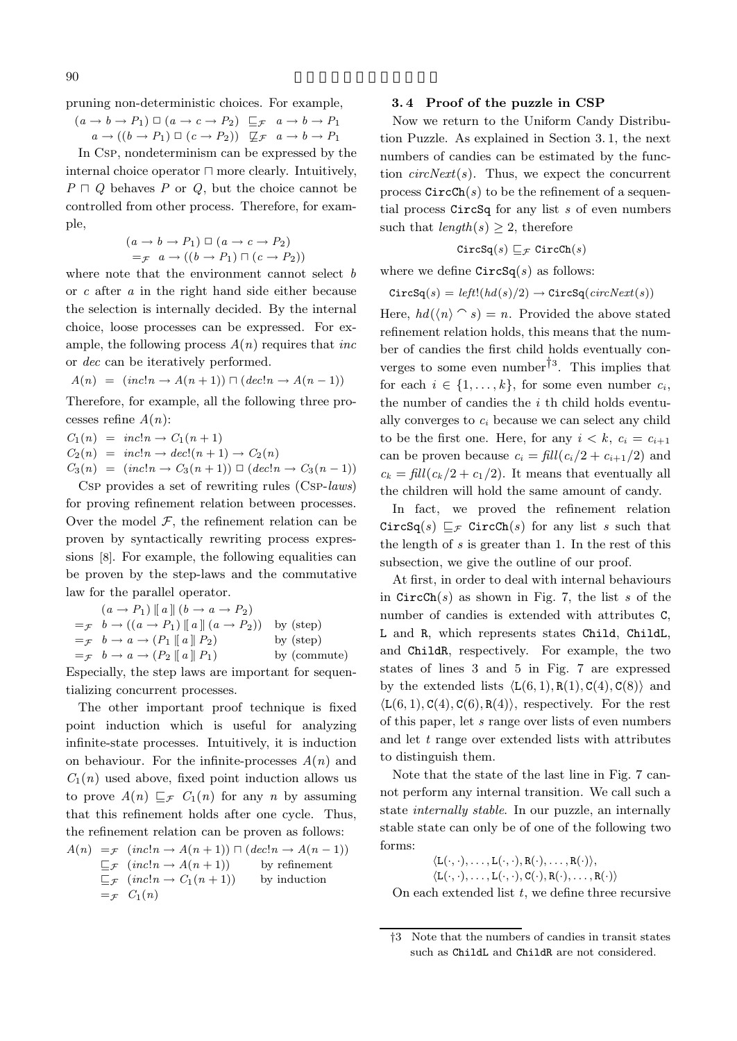pruning non-deterministic choices. For example,

 $(a \rightarrow b \rightarrow P_1) \square (a \rightarrow c \rightarrow P_2) \square_{\mathcal{F}} a \rightarrow b \rightarrow P_1$  $a \rightarrow ((b \rightarrow P_1) \square (c \rightarrow P_2)) \square (c \rightarrow P_1) \square (c \rightarrow P_2)$ 

In Csp, nondeterminism can be expressed by the internal choice operator  $\sqcap$  more clearly. Intuitively,  $P \sqcap Q$  behaves *P* or *Q*, but the choice cannot be controlled from other process. Therefore, for example,

$$
(a \to b \to P_1) \square (a \to c \to P_2)
$$
  
= $\mathcal{F}$   $a \to ((b \to P_1) \square (c \to P_2))$ 

where note that the environment cannot select *b* or *c* after *a* in the right hand side either because the selection is internally decided. By the internal choice, loose processes can be expressed. For example, the following process *A*(*n*) requires that *inc* or *dec* can be iteratively performed.

$$
A(n) = (inc!n \rightarrow A(n+1)) \sqcap (dec!n \rightarrow A(n-1))
$$

Therefore, for example, all the following three processes refine *A*(*n*):

 $C_1(n) = inc!n \rightarrow C_1(n+1)$  $C_2(n) = inc!n \rightarrow dec!(n+1) \rightarrow C_2(n)$  $C_3(n) = (inc!n \rightarrow C_3(n+1)) \square (dec!n \rightarrow C_3(n-1))$ 

Csp provides a set of rewriting rules (Csp-*laws*) for proving refinement relation between processes. Over the model  $F$ , the refinement relation can be proven by syntactically rewriting process expressions [8]. For example, the following equalities can be proven by the step-laws and the commutative law for the parallel operator.

$$
(a \rightarrow P_1) \parallel a \parallel (b \rightarrow a \rightarrow P_2)
$$
  
= $\mathcal{F}$   $b \rightarrow ((a \rightarrow P_1) \parallel a) \parallel (a \rightarrow P_2))$  by (step)  
= $\mathcal{F}$   $b \rightarrow a \rightarrow (P_1 \parallel a) \parallel P_2)$  by (step)  
= $\mathcal{F}$   $b \rightarrow a \rightarrow (P_2 \parallel a) \parallel P_1)$  by (commute)

Especially, the step laws are important for sequentializing concurrent processes.

The other important proof technique is fixed point induction which is useful for analyzing infinite-state processes. Intuitively, it is induction on behaviour. For the infinite-processes  $A(n)$  and  $C_1(n)$  used above, fixed point induction allows us to prove  $A(n) \sqsubseteq_{\mathcal{F}} C_1(n)$  for any *n* by assuming that this refinement holds after one cycle. Thus, the refinement relation can be proven as follows:

$$
A(n) =_{\mathcal{F}} (incln \to A(n+1)) \sqcap (dec!n \to A(n-1))
$$
  
\n
$$
\sqsubseteq_{\mathcal{F}} (inc!n \to A(n+1))
$$
 by refinement  
\n
$$
\sqsubseteq_{\mathcal{F}} (inc!n \to C_1(n+1))
$$
 by induction  
\n
$$
=_{\mathcal{F}} C_1(n)
$$

## **3. 4 Proof of the puzzle in CSP**

Now we return to the Uniform Candy Distribution Puzzle. As explained in Section 3. 1, the next numbers of candies can be estimated by the function *circNext*(*s*). Thus, we expect the concurrent process  $CircCh(s)$  to be the refinement of a sequential process CircSq for any list *s* of even numbers such that  $length(s) \geq 2$ , therefore

$$
\texttt{CircSq}(s) \sqsubseteq_{\mathcal{F}} \texttt{CircCh}(s)
$$

where we define  $\text{CircSq}(s)$  as follows:

$$
\text{CircSq}(s) = \text{left!}(hd(s)/2) \rightarrow \text{CircSq}(\text{circNext}(s))
$$

Here,  $hd(\langle n \rangle \cap s) = n$ . Provided the above stated refinement relation holds, this means that the number of candies the first child holds eventually converges to some even number<sup>†3</sup>. This implies that for each  $i \in \{1, \ldots, k\}$ , for some even number  $c_i$ , the number of candies the *i* th child holds eventually converges to  $c_i$  because we can select any child to be the first one. Here, for any  $i < k$ ,  $c_i = c_{i+1}$ can be proven because  $c_i = \text{fill}(c_i/2 + c_{i+1}/2)$  and  $c_k = \text{fill}(c_k/2 + c_1/2)$ . It means that eventually all the children will hold the same amount of candy.

In fact, we proved the refinement relation CircSq(s)  $\mathbb{F}_{\mathcal{F}}$  CircCh(s) for any list *s* such that the length of *s* is greater than 1. In the rest of this subsection, we give the outline of our proof.

At first, in order to deal with internal behaviours in CircCh(*s*) as shown in Fig. 7, the list *s* of the number of candies is extended with attributes C, L and R, which represents states Child, ChildL, and ChildR, respectively. For example, the two states of lines 3 and 5 in Fig. 7 are expressed by the extended lists  $\langle L(6, 1), R(1), C(4), C(8) \rangle$  and  $\langle L(6, 1), C(4), C(6), R(4) \rangle$ , respectively. For the rest of this paper, let *s* range over lists of even numbers and let *t* range over extended lists with attributes to distinguish them.

Note that the state of the last line in Fig. 7 cannot perform any internal transition. We call such a state *internally stable*. In our puzzle, an internally stable state can only be of one of the following two forms:

$$
\langle L(\cdot,\cdot),\ldots,L(\cdot,\cdot),R(\cdot),\ldots,R(\cdot)\rangle,\\ \langle L(\cdot,\cdot),\ldots,L(\cdot,\cdot),C(\cdot),R(\cdot),\ldots,R(\cdot)\rangle
$$

On each extended list *t*, we define three recursive

<sup>†</sup>3 Note that the numbers of candies in transit states such as ChildL and ChildR are not considered.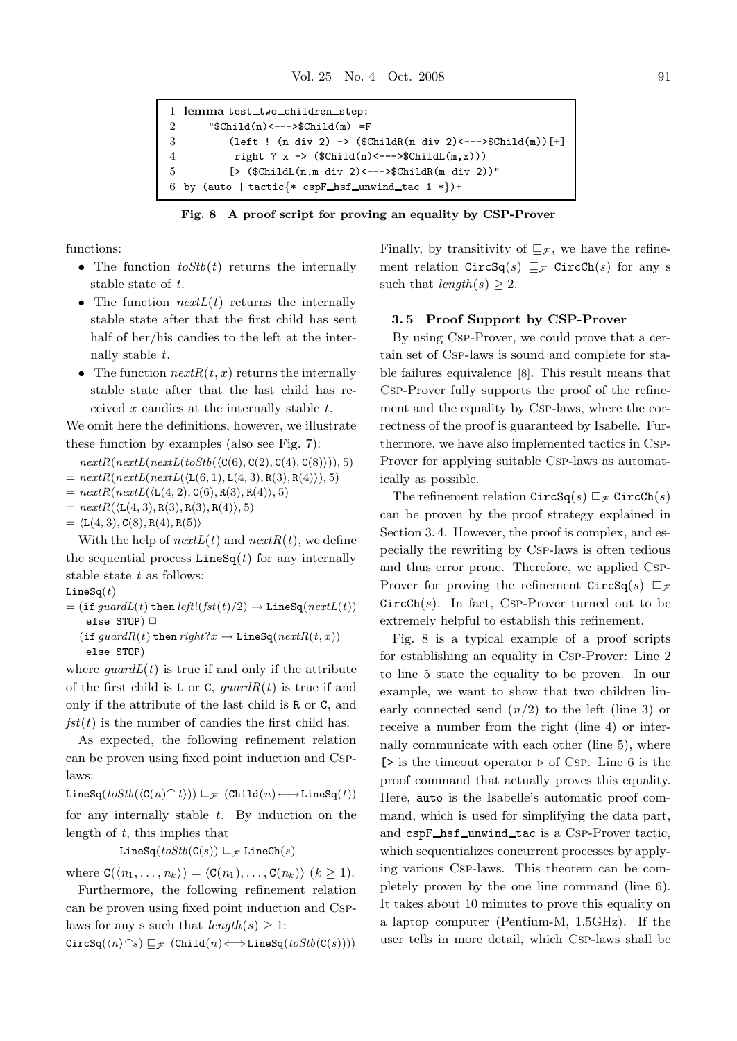```
1 lemma test_two_children_step:
2 "$Child(n)<--->$Child(m) =F
3 (left ! (n div 2) \rightarrow ($ChildR(n div 2) <--->$Child(m))[+]
4 right ? x -> (\text{Cchild}(n) \leftarrow -\text{SChild}(m,x)))5 [> ($ChildL(n,m div 2)<--->$ChildR(m div 2))"
6 by (auto | tactic{* cspF_hsf_unwind_tac 1 *})+
```
**Fig. 8 A proof script for proving an equality by CSP-Prover**

functions:

- The function *toStb*(*t*) returns the internally stable state of *t*.
- The function  $nextL(t)$  returns the internally stable state after that the first child has sent half of her/his candies to the left at the internally stable *t*.
- The function  $nextR(t, x)$  returns the internally stable state after that the last child has received *x* candies at the internally stable *t*.

We omit here the definitions, however, we illustrate these function by examples (also see Fig. 7):

 $nextR(nextL(nextL(toStb(\langle C(6), C(2), C(4), C(8) \rangle)), 5)$ 

- $= nextR(nextL(nextL(\langle L(6, 1), L(4, 3), R(3), R(4) \rangle), 5)$
- $= nextR(nextL(\langle L(4, 2), C(6), R(3), R(4) \rangle, 5)$
- $= nextR(\langle L(4,3), R(3), R(3), R(4) \rangle, 5)$
- $= \langle L(4,3), C(8), R(4), R(5) \rangle$

With the help of  $nextL(t)$  and  $nextR(t)$ , we define the sequential process  $\text{LineSq}(t)$  for any internally stable state *t* as follows:

$$
{\tt LineSq}(t)
$$

 $=$  (if *guardL*(*t*) then *left*!( $fst(t)/2$ )  $\rightarrow$  LineSq( $nextL(t)$ ) else  $STOP$ )  $\Box$  $(i$ **f**  $guardR(t)$ **then**  $right?x \rightarrow$  LineSq $(nextR(t, x))$ 

else STOP)

where  $quardL(t)$  is true if and only if the attribute of the first child is L or C,  ${guardR(t)}$  is true if and only if the attribute of the last child is R or C, and  $fst(t)$  is the number of candies the first child has.

As expected, the following refinement relation can be proven using fixed point induction and Csplaws:

 $\text{LineSq}(toStb(\langle C(n) \cap t \rangle)) \sqsubseteq_{\mathcal{F}} (\text{Child}(n) \longleftrightarrow \text{LineSq}(t))$ for any internally stable *t*. By induction on the length of *t*, this implies that

LineSq $(toStb(C(s)) \sqsubseteq_{\mathcal{F}}$  LineCh $(s)$ 

where  $C(\langle n_1, \ldots, n_k \rangle) = \langle C(n_1), \ldots, C(n_k) \rangle \ (k \geq 1).$ 

Furthermore, the following refinement relation can be proven using fixed point induction and Csplaws for any s such that  $length(s) \geq 1$ :

 $\text{CircSq}(\langle n \rangle \hat{\ } s) \sqsubseteq_{\mathcal{F}} (\text{Child}(n) \Longleftrightarrow \text{LineSq}(toStb(C(s))))$ 

Finally, by transitivity of  $\sqsubseteq_{\mathcal{F}}$ , we have the refinement relation  $\text{CircSq}(s) \sqsubseteq_{\mathcal{F}} \text{CircCh}(s)$  for any s such that  $length(s) > 2$ .

## **3. 5 Proof Support by CSP-Prover**

By using Csp-Prover, we could prove that a certain set of Csp-laws is sound and complete for stable failures equivalence [8]. This result means that Csp-Prover fully supports the proof of the refinement and the equality by Csp-laws, where the correctness of the proof is guaranteed by Isabelle. Furthermore, we have also implemented tactics in Csp-Prover for applying suitable Csp-laws as automatically as possible.

The refinement relation  $\text{CircSq}(s) \sqsubset_{\mathcal{F}} \text{CircCh}(s)$ can be proven by the proof strategy explained in Section 3. 4. However, the proof is complex, and especially the rewriting by Csp-laws is often tedious and thus error prone. Therefore, we applied Csp-Prover for proving the refinement  $\text{CircSq}(s) \sqsubseteq_{\mathcal{F}}$  $CircCh(s)$ . In fact, Csp-Prover turned out to be extremely helpful to establish this refinement.

Fig. 8 is a typical example of a proof scripts for establishing an equality in Csp-Prover: Line 2 to line 5 state the equality to be proven. In our example, we want to show that two children linearly connected send  $(n/2)$  to the left (line 3) or receive a number from the right (line 4) or internally communicate with each other (line 5), where  $\triangleright$  is the timeout operator  $\triangleright$  of Csp. Line 6 is the proof command that actually proves this equality. Here, auto is the Isabelle's automatic proof command, which is used for simplifying the data part, and cspF\_hsf\_unwind\_tac is a Csp-Prover tactic, which sequentializes concurrent processes by applying various Csp-laws. This theorem can be completely proven by the one line command (line 6). It takes about 10 minutes to prove this equality on a laptop computer (Pentium-M, 1.5GHz). If the user tells in more detail, which Csp-laws shall be